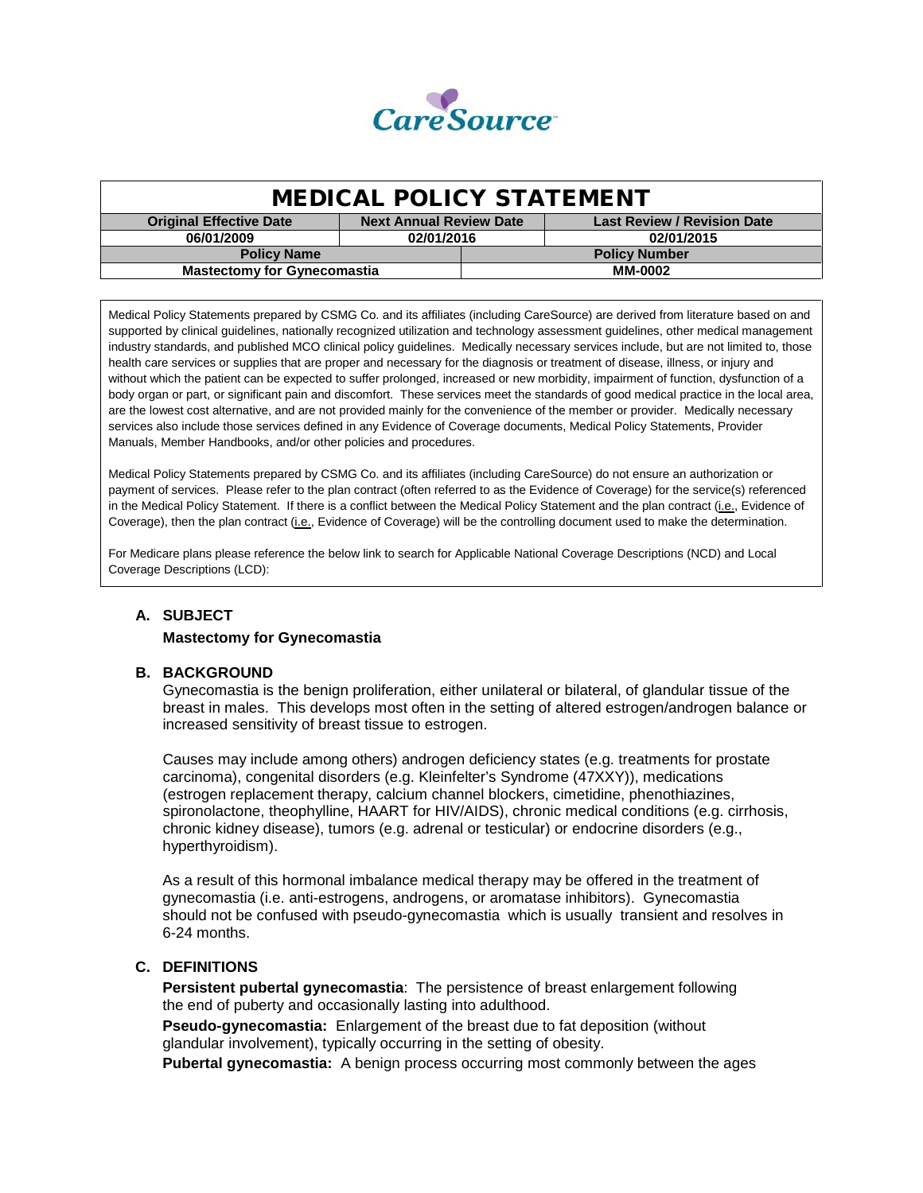

| <b>MEDICAL POLICY STATEMENT</b>    |                                |                      |                                    |  |
|------------------------------------|--------------------------------|----------------------|------------------------------------|--|
| <b>Original Effective Date</b>     | <b>Next Annual Review Date</b> |                      | <b>Last Review / Revision Date</b> |  |
| 06/01/2009                         | 02/01/2016                     |                      | 02/01/2015                         |  |
| <b>Policy Name</b>                 |                                | <b>Policy Number</b> |                                    |  |
| <b>Mastectomy for Gynecomastia</b> |                                | <b>MM-0002</b>       |                                    |  |

Medical Policy Statements prepared by CSMG Co. and its affiliates (including CareSource) are derived from literature based on and supported by clinical guidelines, nationally recognized utilization and technology assessment guidelines, other medical management industry standards, and published MCO clinical policy guidelines. Medically necessary services include, but are not limited to, those health care services or supplies that are proper and necessary for the diagnosis or treatment of disease, illness, or injury and without which the patient can be expected to suffer prolonged, increased or new morbidity, impairment of function, dysfunction of a body organ or part, or significant pain and discomfort. These services meet the standards of good medical practice in the local area, are the lowest cost alternative, and are not provided mainly for the convenience of the member or provider. Medically necessary services also include those services defined in any Evidence of Coverage documents, Medical Policy Statements, Provider Manuals, Member Handbooks, and/or other policies and procedures.

Medical Policy Statements prepared by CSMG Co. and its affiliates (including CareSource) do not ensure an authorization or payment of services. Please refer to the plan contract (often referred to as the Evidence of Coverage) for the service(s) referenced in the Medical Policy Statement. If there is a conflict between the Medical Policy Statement and the plan contract (i.e., Evidence of Coverage), then the plan contract (i.e., Evidence of Coverage) will be the controlling document used to make the determination.

For Medicare plans please reference the below link to search for Applicable National Coverage Descriptions (NCD) and Local Coverage Descriptions (LCD):

# **A. SUBJECT**

#### **Mastectomy for Gynecomastia**

#### **B. BACKGROUND**

Gynecomastia is the benign proliferation, either unilateral or bilateral, of glandular tissue of the breast in males. This develops most often in the setting of altered estrogen/androgen balance or increased sensitivity of breast tissue to estrogen.

Causes may include among others) androgen deficiency states (e.g. treatments for prostate carcinoma), congenital disorders (e.g. Kleinfelter's Syndrome (47XXY)), medications (estrogen replacement therapy, calcium channel blockers, cimetidine, phenothiazines, spironolactone, theophylline, HAART for HIV/AIDS), chronic medical conditions (e.g. cirrhosis, chronic kidney disease), tumors (e.g. adrenal or testicular) or endocrine disorders (e.g., hyperthyroidism).

As a result of this hormonal imbalance medical therapy may be offered in the treatment of gynecomastia (i.e. anti-estrogens, androgens, or aromatase inhibitors). Gynecomastia should not be confused with pseudo-gynecomastia which is usually transient and resolves in 6-24 months.

#### **C. DEFINITIONS**

**Persistent pubertal gynecomastia**: The persistence of breast enlargement following the end of puberty and occasionally lasting into adulthood.

**Pseudo-gynecomastia:** Enlargement of the breast due to fat deposition (without glandular involvement), typically occurring in the setting of obesity.

**Pubertal gynecomastia:** A benign process occurring most commonly between the ages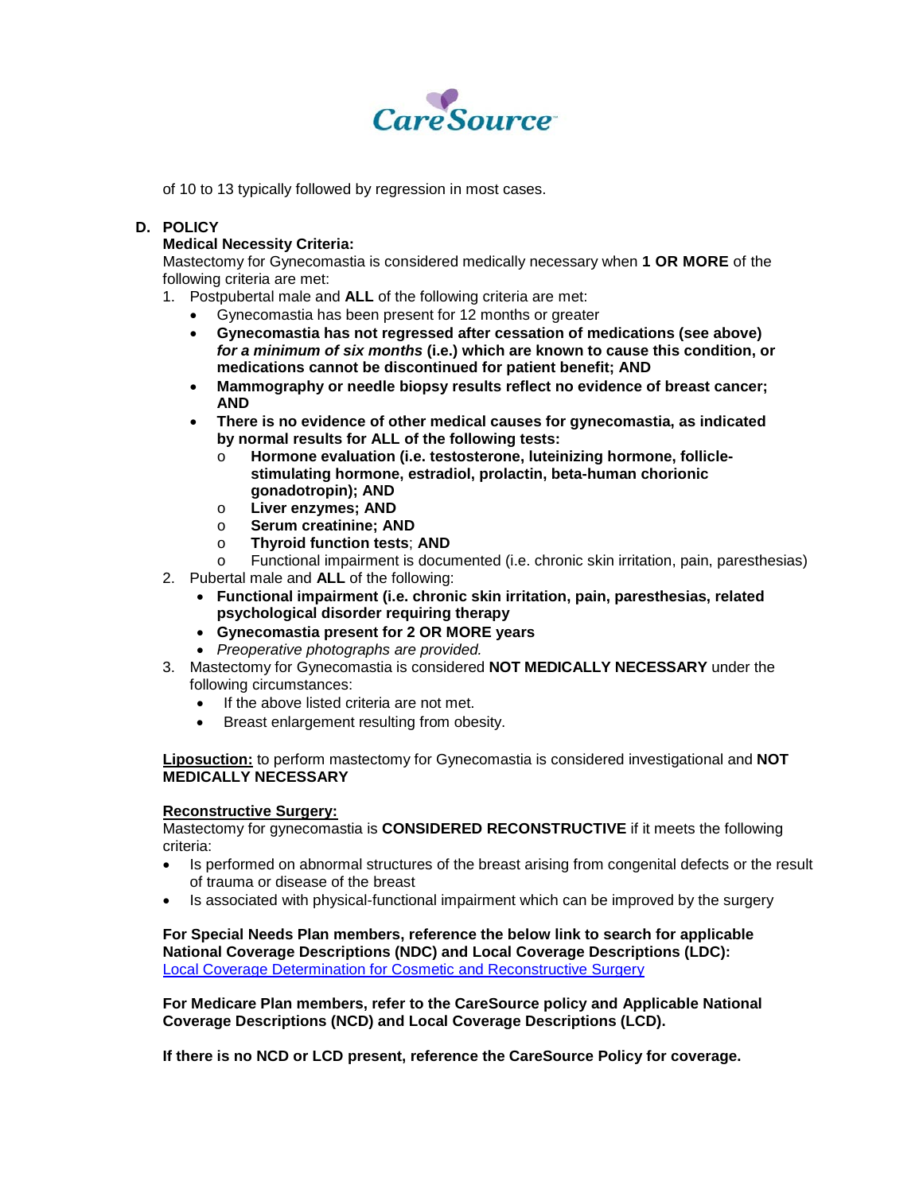

of 10 to 13 typically followed by regression in most cases.

# **D. POLICY**

### **Medical Necessity Criteria:**

Mastectomy for Gynecomastia is considered medically necessary when **1 OR MORE** of the following criteria are met:

- 1. Postpubertal male and **ALL** of the following criteria are met:
	- Gynecomastia has been present for 12 months or greater
	- **Gynecomastia has not regressed after cessation of medications (see above)**  *for a minimum of six months* **(i.e.) which are known to cause this condition, or medications cannot be discontinued for patient benefit; AND**
	- **Mammography or needle biopsy results reflect no evidence of breast cancer; AND**
	- **There is no evidence of other medical causes for gynecomastia, as indicated by normal results for ALL of the following tests:**
		- Hormone evaluation (i.e. testosterone, luteinizing hormone, follicle**stimulating hormone, estradiol, prolactin, beta-human chorionic gonadotropin); AND**
		- o **Liver enzymes; AND**
		- o **Serum creatinine; AND**
		- o **Thyroid function tests**; **AND**
		- Functional impairment is documented (i.e. chronic skin irritation, pain, paresthesias)
- 2. Pubertal male and **ALL** of the following:
	- **Functional impairment (i.e. chronic skin irritation, pain, paresthesias, related psychological disorder requiring therapy**
	- **Gynecomastia present for 2 OR MORE years**
	- *Preoperative photographs are provided.*
- 3. Mastectomy for Gynecomastia is considered **NOT MEDICALLY NECESSARY** under the following circumstances:
	- If the above listed criteria are not met.
	- Breast enlargement resulting from obesity.

**Liposuction:** to perform mastectomy for Gynecomastia is considered investigational and **NOT MEDICALLY NECESSARY**

#### **Reconstructive Surgery:**

Mastectomy for gynecomastia is **CONSIDERED RECONSTRUCTIVE** if it meets the following criteria:

- Is performed on abnormal structures of the breast arising from congenital defects or the result of trauma or disease of the breast
- Is associated with physical-functional impairment which can be improved by the surgery

**For Special Needs Plan members, reference the below link to search for applicable National Coverage Descriptions (NDC) and Local Coverage Descriptions (LDC):** [Local Coverage Determination for Cosmetic](http://www.cms.gov/medicare-coverage-database/details/lcd-details.aspx?LCDId=30733&ver=10&ContrId=212&SearchType=Advanced&CoverageSelection=Both&NCSelection=NCA%7cCAL%7cNCD%7cMEDCAC%7cTA%7cMCD&ArticleType=Ed%7cKey%7cSAD%7cFAQ&PolicyType=Final&s=42&KeyWord=gynecomastia&KeyWordLookUp=Doc&KeyWordSearchType=Exact&kq=true&bc=IAAAABAAAAAA) and Reconstructive Surgery

**For Medicare Plan members, refer to the CareSource policy and Applicable National Coverage Descriptions (NCD) and Local Coverage Descriptions (LCD).**

**If there is no NCD or LCD present, reference the CareSource Policy for coverage.**